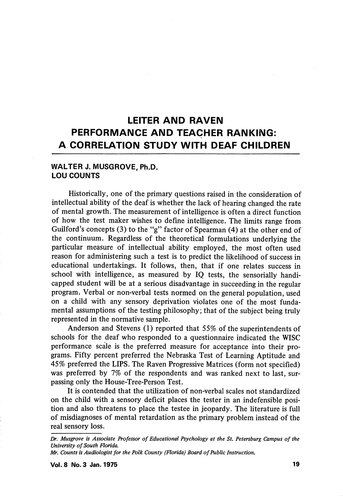# LEITER AND RAVEN PERFORMANCE AND TEACHER RANKING: A CORRELATION STUDY WITH DEAF CHILDREN

# WALTER J. MUSGROVE, Ph.D. LOU COUNTS

Historically, one of the primary questions raised in the consideration of intellectual ability of the deaf is whether the lack of hearing changed the rate of mental growth. The measurement of intelligence is often a direct function of how the test maker wishes to define intelhgence. The limits range from Guilford's concepts (3) to the "g" factor of Spearman (4) at the other end of the continuum. Regardless of the theoretical formulations underlying the particular measure of intellectual ability employed, the most often used reason for administering such a test is to predict the likelihood of success in educational undertakings. It follows, then, that if one relates success in school with intelligence, as measured by IQ tests, the sensorially handi capped student will be at a serious disadvantage in succeeding in the regular program. Verbal or non-verbal tests normed on the general population, used on a child with any sensory deprivation violates one of the most funda mental assumptions of the testing philosophy; that of the subject being truly represented in the normative sample.

Anderson and Stevens (1) reported that 55% of the superintendents of schools for the deaf who responded to a questionnaire indicated the WISC performance scale is the preferred measure for acceptance into their pro grams. Fifty percent preferred the Nebraska Test of Learning Aptitude and 45% preferred the LIPS. The Raven Progressive Matrices (form not specified) was preferred by 7% of the respondents and was ranked next to last, surpassing only the House-Tree-Person Test.

It is contended that the utilization of non-verbal scales not standardized on the child with a sensory deficit places the tester in an indefensible posi tion and also threatens to place the testee in jeopardy. The literature is full of misdiagnoses of mental retardation as the primary problem instead of the real sensory loss.

Dr, Musgrove is Associate Professor of Educational Psychology at the St, Petersburg Campus of the University of South Florida.

Mr. Counts is Audiologist for the Polk County (Florida) Board of Public Instruction.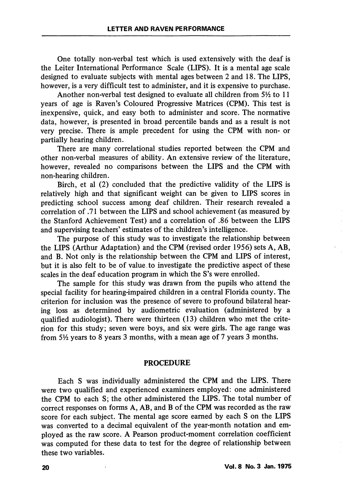One totally non-verbal test which is used extensively with the deaf is the Leiter International Performance Scale (LIPS). It is a mental age scale designed to evaluate subjects with mental ages between 2 and 18. The LIPS, however, is a very difficult test to administer, and it is expensive to purchase.

Another non-verbal test designed to evaluate all children from  $5\frac{1}{2}$  to 11 years of age is Raven's Coloured Progressive Matrices (CPM). This test is inexpensive, quick, and easy both to administer and score. The normative data, however, is presented in broad percentile bands and as a result is not very precise. There is ample precedent for using the CPM with non- or partially hearing children.

There are many correlational studies reported between the CPM and other non-verbal measures of ability. An extensive review of the literature, however, revealed no comparisons between the LIPS and the CPM with non-hearing children.

Birch, et al (2) concluded that the predictive validity of the LIPS is relatively high and that significant weight can be given to LIPS scores in predicting school success among deaf children. Their research revealed a correlation of .71 between the LIPS and school achievement (as measured by the Stanford Achievement Test) and a correlation of .86 between the LIPS and supervising teachers' estimates of the children's intelligence.

The purpose of this study was to investigate the relationship between the LIPS (Arthur Adaptation) and the CPM (revised order 1956) sets A, AB, and B. Not only is the relationship between the CPM and LIPS of interest, but it is also felt to be of value to investigate the predictive aspect of these scales in the deaf education program in which the S's were enrolled.

The sample for this study was drawn from the pupils who attend the special facility for hearing-impaired children in a central Florida county. The criterion for inclusion was the presence of severe to profound bilateral hear ing loss as determined by audiometric evaluation (administered by a qualified audiologist). There were thirteen (13) children who met the crite rion for this study; seven were boys, and six were girls. The age range was from  $5\frac{1}{2}$  years to 8 years 3 months, with a mean age of 7 years 3 months.

# PROCEDURE

Each S was individually administered the CPM and the LIPS. There were two qualified and experienced examiners employed: one administered the CPM to each S; the other administered the LIPS. The total number of correct responses on forms A, AB, and B of the CPM was recorded as the raw score for each subject. The mental age score earned by each S on the LIPS was converted to a decimal equivalent of the year-month notation and em ployed as the raw score. A Pearson product-moment correlation coefficient was computed for these data to test for the degree of relationship between these two variables.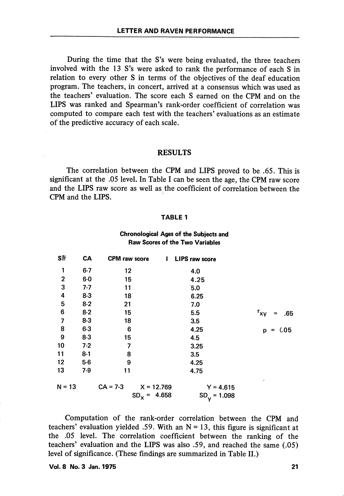During the time that the S's were being evaluated, the three teachers involved with the 13 S's were asked to rank the performance of each S in relation to every other S in terms of the objectives of the deaf education program. The teachers, in concert, arrived at a consensus which was used as the teachers' evaluation. The score each S earned on the CPM and on the LIPS was ranked and Spearman's rank-order coefficient of correlation was computed to compare each test with the teachers' evaluations as an estimate of the predictive accuracy of each scale.

### RESULTS

The correlation between the CPM and LIPS proved to be .65. This is significant at the .05 level. In Table I can be seen the age, the CPM raw score and the LIPS raw score as well as the coefficient of correlation between the CPM and the LIPS.

#### TABLE 1

# Chronological Ages of the Subjects and Raw Scores of the Two Variables

| S#           | CA      | <b>CPM</b> raw score       | <b>LIPS raw score</b><br>$\mathbf{I}$ |                                |
|--------------|---------|----------------------------|---------------------------------------|--------------------------------|
| 1            | $6 - 7$ | 12                         | 4.0                                   |                                |
| $\mathbf{2}$ | $6-0$   | 15                         | 4.25                                  |                                |
| 3            | $7 - 7$ | 11                         | 5.0                                   |                                |
| 4            | $8 - 3$ | 18                         | 6.25                                  |                                |
| 5            | $8-2$   | 21                         | 7.0                                   |                                |
| 6            | $8 - 2$ | 15                         | 5.5                                   | $r_{xy}$<br>.65<br>$=$         |
| 7            | $8 - 3$ | 18                         | 3.5                                   |                                |
| 8            | $6 - 3$ | 6                          | 4.25                                  | $\langle .05$<br>p<br>$\equiv$ |
| 9            | $8-3$   | 15                         | 4.5                                   |                                |
| 10           | $7-2$   | 7                          | 3.25                                  |                                |
| 11           | $8-1$   | 8                          | 3.5                                   |                                |
| 12           | $5-6$   | 9                          | 4.25                                  |                                |
| 13           | $7-9$   | 11                         | 4.75                                  |                                |
| $N = 13$     |         | $CA = 7-3$<br>$X = 12.769$ | $Y = 4.615$                           |                                |
|              |         | 4.658<br>$SD_{x}$ =        | $SD_y = 1.098$                        |                                |

Computation of the rank-order correlation between the CPM and teachers' evaluation yielded .59. With an  $N = 13$ , this figure is significant at the .05 level. The correlation coefficient between the ranking of the teachers' evaluation and the LIPS was also .59, and reached the same (.05) level of significance. (These findings are summarized in Table 11.)

Vol. 8 No. 3 Jan. 1975 21